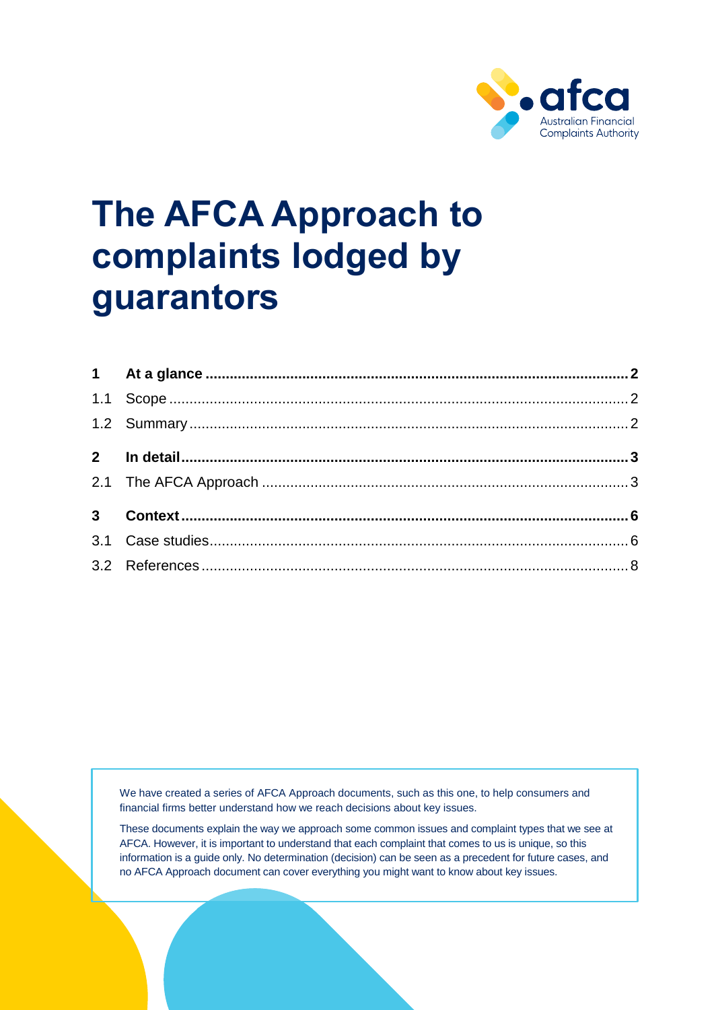

# **The AFCA Approach to complaints lodged by guarantors**

We have created a series of AFCA Approach documents, such as this one, to help consumers and financial firms better understand how we reach decisions about key issues.

These documents explain the way we approach some common issues and complaint types that we see at AFCA. However, it is important to understand that each complaint that comes to us is unique, so this information is a guide only. No determination (decision) can be seen as a precedent for future cases, and no AFCA Approach document can cover everything you might want to know about key issues.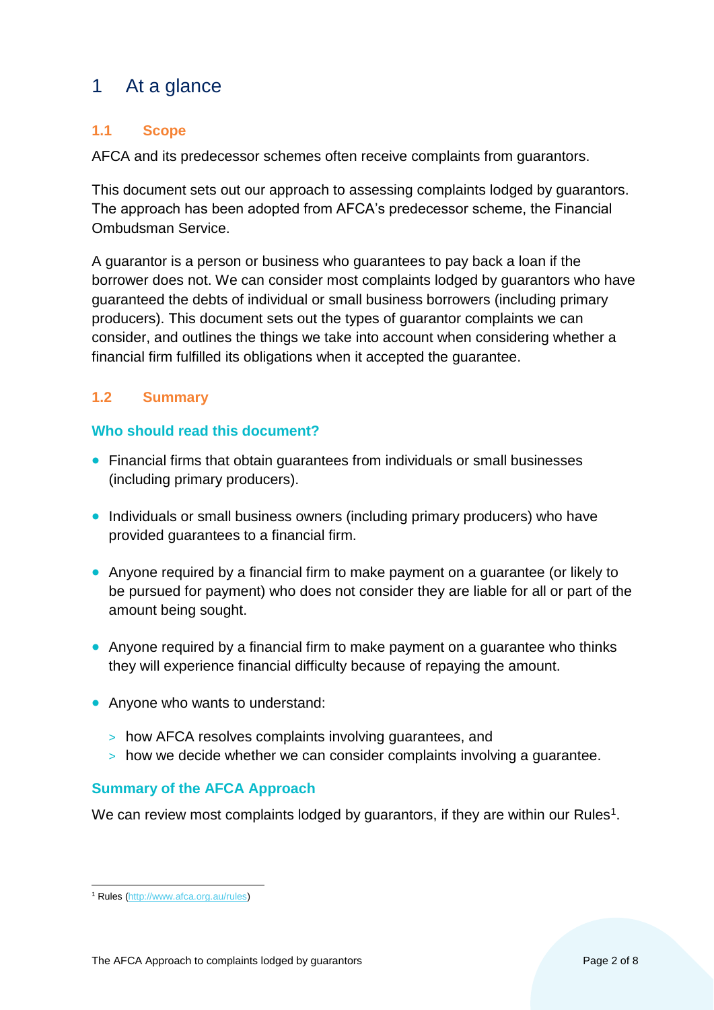# <span id="page-1-0"></span>1 At a glance

# <span id="page-1-1"></span>**1.1 Scope**

AFCA and its predecessor schemes often receive complaints from guarantors.

This document sets out our approach to assessing complaints lodged by guarantors. The approach has been adopted from AFCA's predecessor scheme, the Financial Ombudsman Service.

A guarantor is a person or business who guarantees to pay back a loan if the borrower does not. We can consider most complaints lodged by guarantors who have guaranteed the debts of individual or small business borrowers (including primary producers). This document sets out the types of guarantor complaints we can consider, and outlines the things we take into account when considering whether a financial firm fulfilled its obligations when it accepted the guarantee.

# <span id="page-1-2"></span>**1.2 Summary**

## **Who should read this document?**

- Financial firms that obtain guarantees from individuals or small businesses (including primary producers).
- Individuals or small business owners (including primary producers) who have provided guarantees to a financial firm.
- Anyone required by a financial firm to make payment on a guarantee (or likely to be pursued for payment) who does not consider they are liable for all or part of the amount being sought.
- Anyone required by a financial firm to make payment on a guarantee who thinks they will experience financial difficulty because of repaying the amount.
- Anyone who wants to understand:
	- > how AFCA resolves complaints involving guarantees, and
	- > how we decide whether we can consider complaints involving a guarantee.

## **Summary of the AFCA Approach**

We can review most complaints lodged by guarantors, if they are within our Rules<sup>1</sup>.

 $\overline{a}$ <sup>1</sup> Rules [\(http://www.afca.org.au/rules\)](http://www.afca.org.au/rules)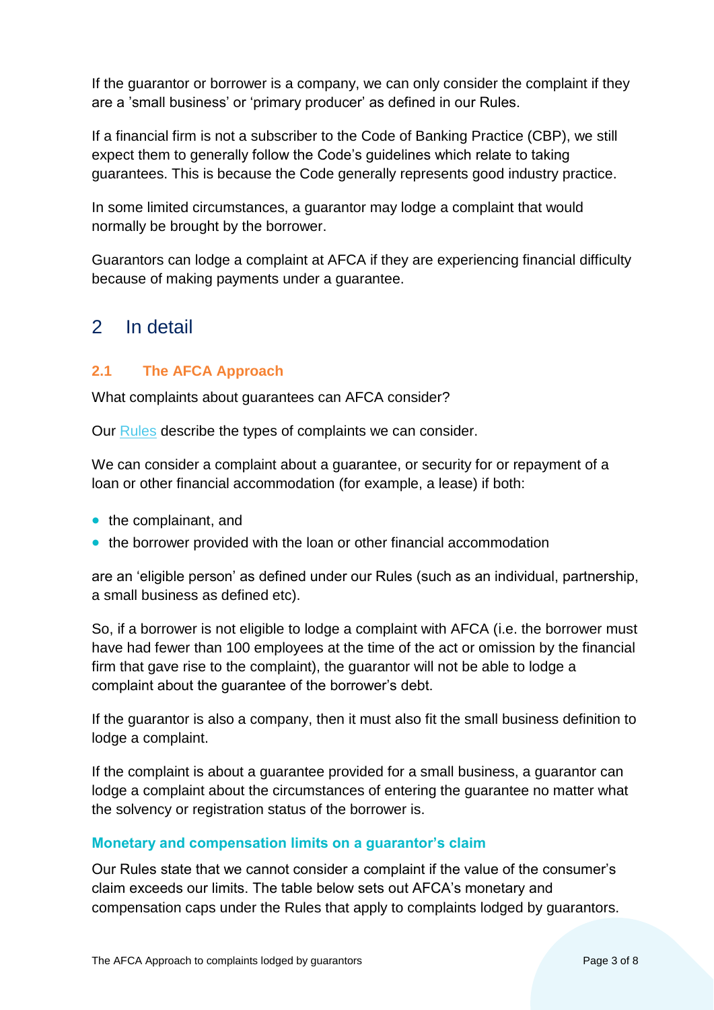If the guarantor or borrower is a company, we can only consider the complaint if they are a 'small business' or 'primary producer' as defined in our Rules.

If a financial firm is not a subscriber to the Code of Banking Practice (CBP), we still expect them to generally follow the Code's guidelines which relate to taking guarantees. This is because the Code generally represents good industry practice.

In some limited circumstances, a guarantor may lodge a complaint that would normally be brought by the borrower.

Guarantors can lodge a complaint at AFCA if they are experiencing financial difficulty because of making payments under a guarantee.

# <span id="page-2-0"></span>2 In detail

# <span id="page-2-1"></span>**2.1 The AFCA Approach**

What complaints about guarantees can AFCA consider?

Our [Rules](http://www.afca.org.au/rules) describe the types of complaints we can consider.

We can consider a complaint about a guarantee, or security for or repayment of a loan or other financial accommodation (for example, a lease) if both:

- the complainant, and
- the borrower provided with the loan or other financial accommodation

are an 'eligible person' as defined under our Rules (such as an individual, partnership, a small business as defined etc).

So, if a borrower is not eligible to lodge a complaint with AFCA (i.e. the borrower must have had fewer than 100 employees at the time of the act or omission by the financial firm that gave rise to the complaint), the guarantor will not be able to lodge a complaint about the guarantee of the borrower's debt.

If the guarantor is also a company, then it must also fit the small business definition to lodge a complaint.

If the complaint is about a guarantee provided for a small business, a guarantor can lodge a complaint about the circumstances of entering the guarantee no matter what the solvency or registration status of the borrower is.

#### **Monetary and compensation limits on a guarantor's claim**

Our Rules state that we cannot consider a complaint if the value of the consumer's claim exceeds our limits. The table below sets out AFCA's monetary and compensation caps under the Rules that apply to complaints lodged by guarantors.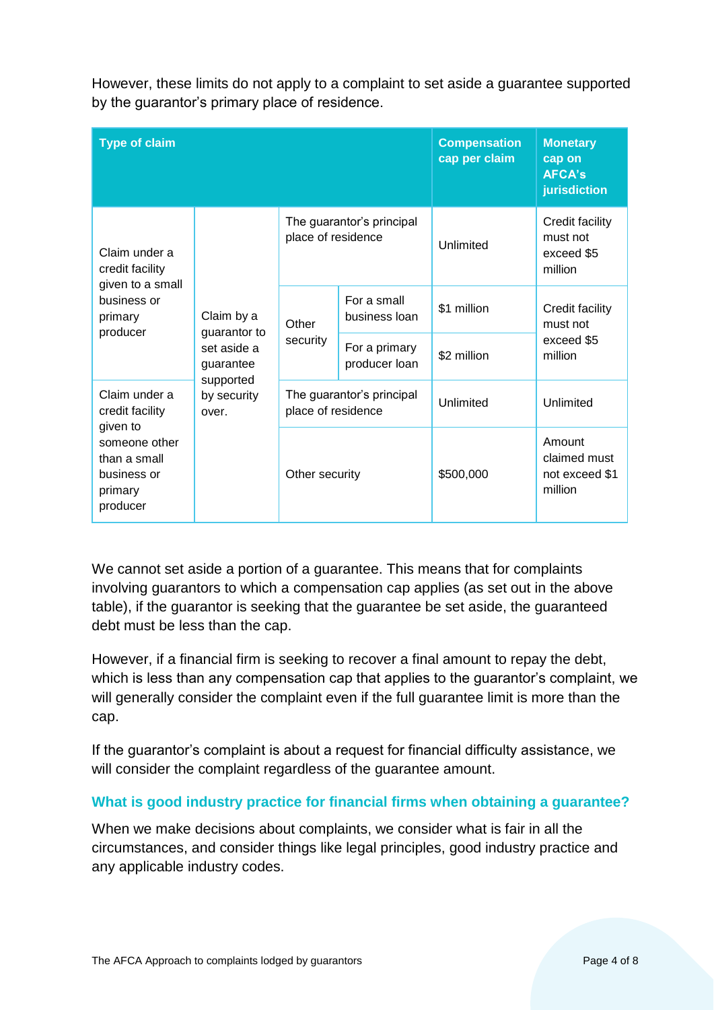| <b>Type of claim</b>                                                |                                                        | <b>Compensation</b><br>cap per claim            | <b>Monetary</b><br>cap on<br><b>AFCA's</b><br>jurisdiction |             |                                                      |
|---------------------------------------------------------------------|--------------------------------------------------------|-------------------------------------------------|------------------------------------------------------------|-------------|------------------------------------------------------|
| Claim under a<br>credit facility<br>given to a small                | Claim by a<br>guarantor to<br>set aside a<br>guarantee | The guarantor's principal<br>place of residence |                                                            | Unlimited   | Credit facility<br>must not<br>exceed \$5<br>million |
| business or<br>primary<br>producer                                  |                                                        | Other<br>security                               | For a small<br>business loan                               | \$1 million | Credit facility<br>must not<br>exceed \$5<br>million |
|                                                                     |                                                        |                                                 | For a primary<br>producer loan                             | \$2 million |                                                      |
| Claim under a<br>credit facility<br>given to                        | supported<br>by security<br>over.                      | place of residence                              | The guarantor's principal                                  | Unlimited   | Unlimited                                            |
| someone other<br>than a small<br>business or<br>primary<br>producer |                                                        | Other security                                  |                                                            | \$500,000   | Amount<br>claimed must<br>not exceed \$1<br>million  |

However, these limits do not apply to a complaint to set aside a guarantee supported by the guarantor's primary place of residence.

We cannot set aside a portion of a guarantee. This means that for complaints involving guarantors to which a compensation cap applies (as set out in the above table), if the guarantor is seeking that the guarantee be set aside, the guaranteed debt must be less than the cap.

However, if a financial firm is seeking to recover a final amount to repay the debt, which is less than any compensation cap that applies to the guarantor's complaint, we will generally consider the complaint even if the full guarantee limit is more than the cap.

If the guarantor's complaint is about a request for financial difficulty assistance, we will consider the complaint regardless of the guarantee amount.

## **What is good industry practice for financial firms when obtaining a guarantee?**

When we make decisions about complaints, we consider what is fair in all the circumstances, and consider things like legal principles, good industry practice and any applicable industry codes.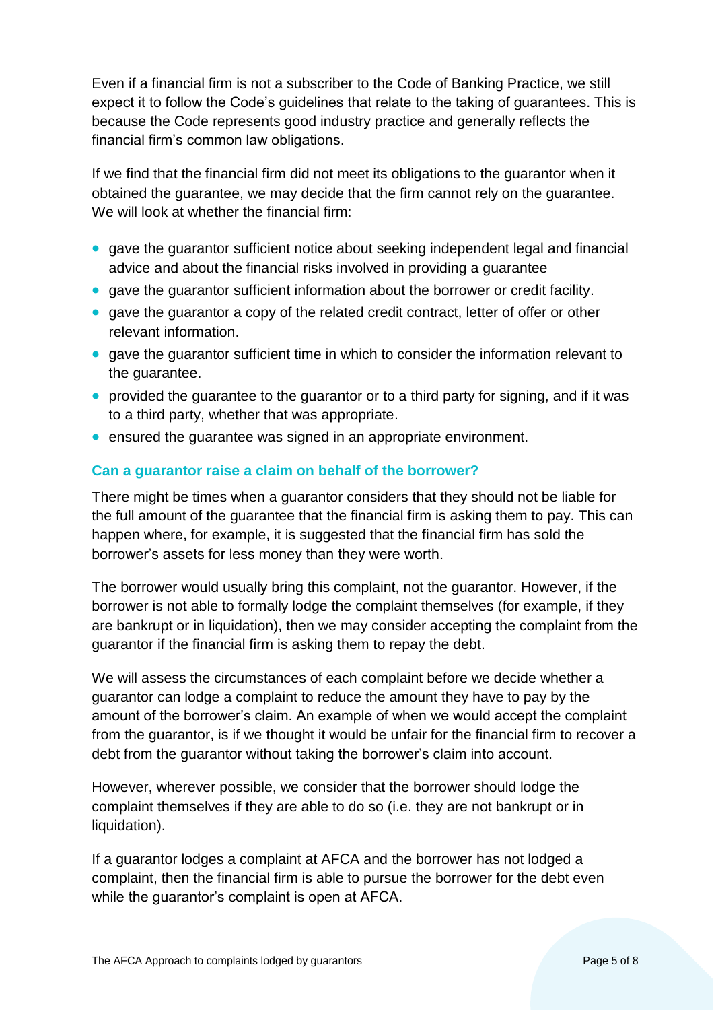Even if a financial firm is not a subscriber to the Code of Banking Practice, we still expect it to follow the Code's guidelines that relate to the taking of guarantees. This is because the Code represents good industry practice and generally reflects the financial firm's common law obligations.

If we find that the financial firm did not meet its obligations to the guarantor when it obtained the guarantee, we may decide that the firm cannot rely on the guarantee. We will look at whether the financial firm:

- gave the guarantor sufficient notice about seeking independent legal and financial advice and about the financial risks involved in providing a guarantee
- gave the guarantor sufficient information about the borrower or credit facility.
- gave the guarantor a copy of the related credit contract, letter of offer or other relevant information.
- gave the guarantor sufficient time in which to consider the information relevant to the guarantee.
- provided the guarantee to the guarantor or to a third party for signing, and if it was to a third party, whether that was appropriate.
- ensured the guarantee was signed in an appropriate environment.

## **Can a guarantor raise a claim on behalf of the borrower?**

There might be times when a guarantor considers that they should not be liable for the full amount of the guarantee that the financial firm is asking them to pay. This can happen where, for example, it is suggested that the financial firm has sold the borrower's assets for less money than they were worth.

The borrower would usually bring this complaint, not the guarantor. However, if the borrower is not able to formally lodge the complaint themselves (for example, if they are bankrupt or in liquidation), then we may consider accepting the complaint from the guarantor if the financial firm is asking them to repay the debt.

We will assess the circumstances of each complaint before we decide whether a guarantor can lodge a complaint to reduce the amount they have to pay by the amount of the borrower's claim. An example of when we would accept the complaint from the guarantor, is if we thought it would be unfair for the financial firm to recover a debt from the guarantor without taking the borrower's claim into account.

However, wherever possible, we consider that the borrower should lodge the complaint themselves if they are able to do so (i.e. they are not bankrupt or in liquidation).

If a guarantor lodges a complaint at AFCA and the borrower has not lodged a complaint, then the financial firm is able to pursue the borrower for the debt even while the guarantor's complaint is open at AFCA.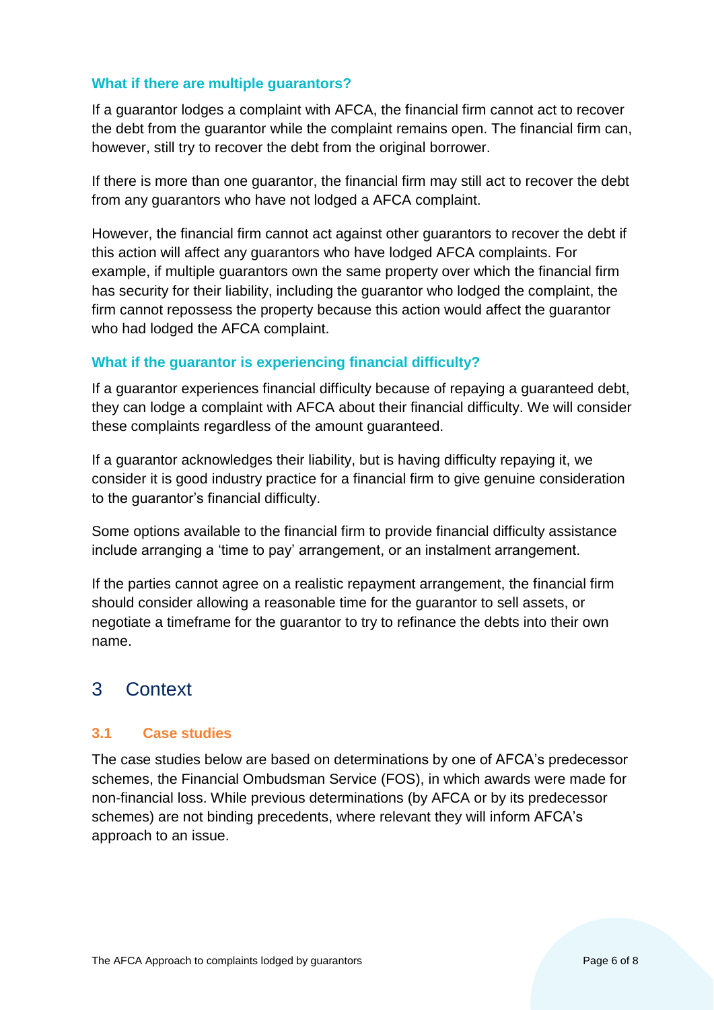#### **What if there are multiple guarantors?**

If a guarantor lodges a complaint with AFCA, the financial firm cannot act to recover the debt from the guarantor while the complaint remains open. The financial firm can, however, still try to recover the debt from the original borrower.

If there is more than one guarantor, the financial firm may still act to recover the debt from any guarantors who have not lodged a AFCA complaint.

However, the financial firm cannot act against other guarantors to recover the debt if this action will affect any guarantors who have lodged AFCA complaints. For example, if multiple guarantors own the same property over which the financial firm has security for their liability, including the guarantor who lodged the complaint, the firm cannot repossess the property because this action would affect the guarantor who had lodged the AFCA complaint.

## **What if the guarantor is experiencing financial difficulty?**

If a guarantor experiences financial difficulty because of repaying a guaranteed debt, they can lodge a complaint with AFCA about their financial difficulty. We will consider these complaints regardless of the amount guaranteed.

If a guarantor acknowledges their liability, but is having difficulty repaying it, we consider it is good industry practice for a financial firm to give genuine consideration to the guarantor's financial difficulty.

Some options available to the financial firm to provide financial difficulty assistance include arranging a 'time to pay' arrangement, or an instalment arrangement.

If the parties cannot agree on a realistic repayment arrangement, the financial firm should consider allowing a reasonable time for the guarantor to sell assets, or negotiate a timeframe for the guarantor to try to refinance the debts into their own name.

# <span id="page-5-0"></span>3 Context

## <span id="page-5-1"></span>**3.1 Case studies**

The case studies below are based on determinations by one of AFCA's predecessor schemes, the Financial Ombudsman Service (FOS), in which awards were made for non-financial loss. While previous determinations (by AFCA or by its predecessor schemes) are not binding precedents, where relevant they will inform AFCA's approach to an issue.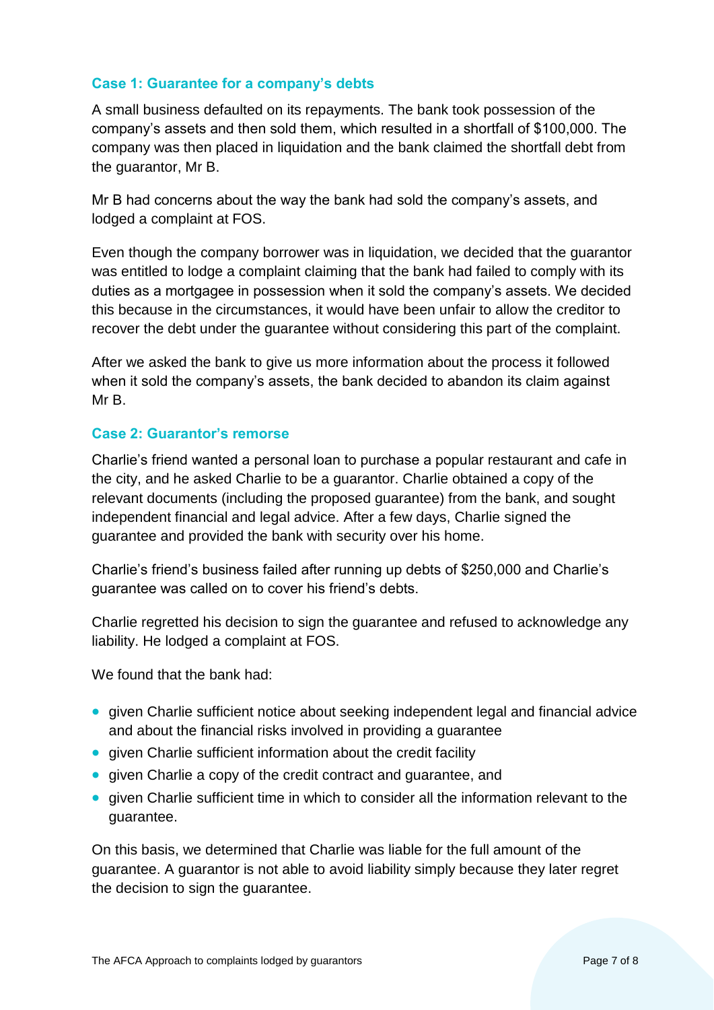#### **Case 1: Guarantee for a company's debts**

A small business defaulted on its repayments. The bank took possession of the company's assets and then sold them, which resulted in a shortfall of \$100,000. The company was then placed in liquidation and the bank claimed the shortfall debt from the guarantor, Mr B.

Mr B had concerns about the way the bank had sold the company's assets, and lodged a complaint at FOS.

Even though the company borrower was in liquidation, we decided that the guarantor was entitled to lodge a complaint claiming that the bank had failed to comply with its duties as a mortgagee in possession when it sold the company's assets. We decided this because in the circumstances, it would have been unfair to allow the creditor to recover the debt under the guarantee without considering this part of the complaint.

After we asked the bank to give us more information about the process it followed when it sold the company's assets, the bank decided to abandon its claim against Mr B.

#### **Case 2: Guarantor's remorse**

Charlie's friend wanted a personal loan to purchase a popular restaurant and cafe in the city, and he asked Charlie to be a guarantor. Charlie obtained a copy of the relevant documents (including the proposed guarantee) from the bank, and sought independent financial and legal advice. After a few days, Charlie signed the guarantee and provided the bank with security over his home.

Charlie's friend's business failed after running up debts of \$250,000 and Charlie's guarantee was called on to cover his friend's debts.

Charlie regretted his decision to sign the guarantee and refused to acknowledge any liability. He lodged a complaint at FOS.

We found that the bank had:

- given Charlie sufficient notice about seeking independent legal and financial advice and about the financial risks involved in providing a guarantee
- given Charlie sufficient information about the credit facility
- given Charlie a copy of the credit contract and guarantee, and
- given Charlie sufficient time in which to consider all the information relevant to the guarantee.

On this basis, we determined that Charlie was liable for the full amount of the guarantee. A guarantor is not able to avoid liability simply because they later regret the decision to sign the guarantee.